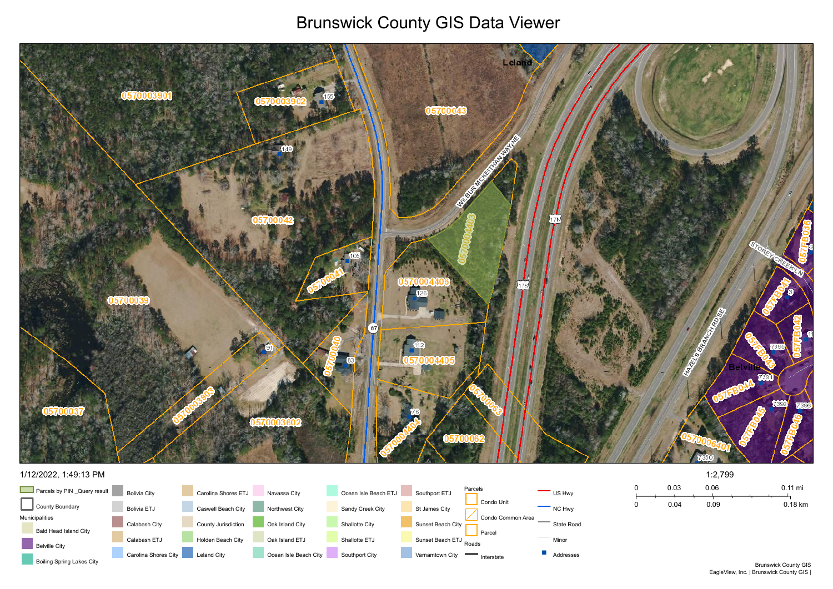## Brunswick County GIS Data Viewer





### 1/12/2022, 1:49:13 PM

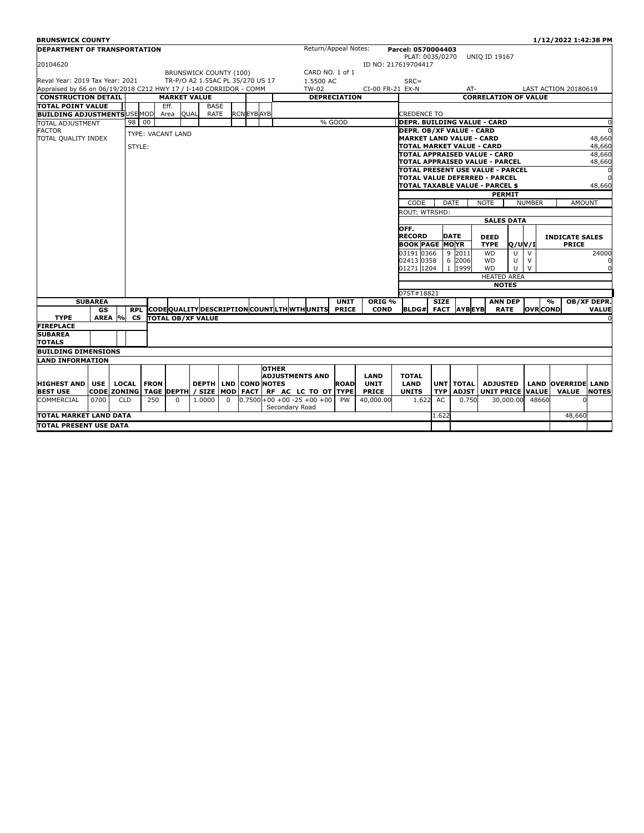| <b>BRUNSWICK COUNTY</b>                                                                                                |                    |                            |              |                   |                   |                          |                              |                   |              |                                           |                      |                           |                   |                                                   |                                    |                                                                       |                                  |                 | 1/12/2022 1:42:38 PM      |              |  |
|------------------------------------------------------------------------------------------------------------------------|--------------------|----------------------------|--------------|-------------------|-------------------|--------------------------|------------------------------|-------------------|--------------|-------------------------------------------|----------------------|---------------------------|-------------------|---------------------------------------------------|------------------------------------|-----------------------------------------------------------------------|----------------------------------|-----------------|---------------------------|--------------|--|
| <b>DEPARTMENT OF TRANSPORTATION</b>                                                                                    |                    |                            |              |                   |                   |                          |                              |                   |              |                                           | Return/Appeal Notes: |                           |                   | Parcel: 0570004403                                |                                    |                                                                       |                                  |                 |                           |              |  |
|                                                                                                                        |                    |                            |              |                   |                   |                          |                              |                   |              |                                           |                      |                           |                   | PLAT: 0035/0270                                   |                                    |                                                                       | <b>UNIO ID 19167</b>             |                 |                           |              |  |
| 20104620                                                                                                               |                    |                            |              |                   |                   |                          |                              |                   |              |                                           |                      |                           |                   | ID NO: 217619704417                               |                                    |                                                                       |                                  |                 |                           |              |  |
|                                                                                                                        |                    |                            |              |                   |                   | BRUNSWICK COUNTY (100)   |                              |                   |              |                                           | CARD NO. 1 of 1      |                           |                   |                                                   |                                    |                                                                       |                                  |                 |                           |              |  |
| Reval Year: 2019 Tax Year: 2021<br>TR-P/O A2 1.55AC PL 35/270 US 17                                                    |                    |                            |              |                   |                   |                          |                              |                   | 1.5500 AC    |                                           |                      | $SRC =$                   |                   |                                                   |                                    |                                                                       |                                  |                 |                           |              |  |
| Appraised by 66 on 06/19/2018 C212 HWY 17 / I-140 CORRIDOR - COMM<br><b>CONSTRUCTION DETAIL</b><br><b>MARKET VALUE</b> |                    |                            |              |                   |                   |                          |                              | TW-02             |              | CI-00 FR-21 EX-N                          |                      |                           | AT-               |                                                   |                                    | <b>LAST ACTION 20180619</b>                                           |                                  |                 |                           |              |  |
|                                                                                                                        |                    |                            |              |                   |                   |                          |                              |                   |              |                                           | <b>DEPRECIATION</b>  |                           |                   |                                                   |                                    |                                                                       | <b>CORRELATION OF VALUE</b>      |                 |                           |              |  |
| <b>TOTAL POINT VALUE</b>                                                                                               |                    |                            |              |                   | Eff.              |                          | <b>BASE</b>                  |                   |              |                                           |                      |                           |                   |                                                   |                                    |                                                                       |                                  |                 |                           |              |  |
| <b>BUILDING ADJUSTMENTS USE MOD</b>                                                                                    |                    |                            |              |                   | Area              | <b>QUAL</b>              | <b>RATE</b>                  | <b>RCN EYBAYB</b> |              |                                           |                      | % GOOD                    |                   | <b>CREDENCE TO</b><br>DEPR. BUILDING VALUE - CARD |                                    |                                                                       |                                  |                 |                           |              |  |
| <b>TOTAL ADJUSTMENT</b><br><b>FACTOR</b><br>TOTAL QUALITY INDEX                                                        |                    |                            | 98           | 00                |                   |                          |                              |                   |              |                                           |                      |                           |                   |                                                   |                                    |                                                                       |                                  |                 |                           |              |  |
|                                                                                                                        |                    |                            |              | TYPE: VACANT LAND |                   |                          |                              |                   |              |                                           |                      |                           |                   |                                                   |                                    | DEPR. OB/XF VALUE - CARD<br>48,660<br><b>MARKET LAND VALUE - CARD</b> |                                  |                 |                           |              |  |
|                                                                                                                        |                    |                            |              | STYLE:            |                   |                          |                              |                   |              |                                           |                      | TOTAL MARKET VALUE - CARD |                   |                                                   |                                    |                                                                       |                                  | 48,660          |                           |              |  |
|                                                                                                                        |                    |                            |              |                   |                   |                          |                              |                   |              |                                           |                      |                           |                   |                                                   |                                    |                                                                       | TOTAL APPRAISED VALUE - CARD     |                 |                           | 48,660       |  |
|                                                                                                                        |                    |                            |              |                   |                   |                          |                              |                   |              |                                           |                      |                           |                   |                                                   |                                    |                                                                       | TOTAL APPRAISED VALUE - PARCEL   |                 |                           | 48,660       |  |
|                                                                                                                        |                    |                            |              |                   |                   |                          |                              |                   |              |                                           |                      |                           |                   |                                                   |                                    |                                                                       | TOTAL PRESENT USE VALUE - PARCEL |                 |                           |              |  |
|                                                                                                                        |                    |                            |              |                   |                   |                          |                              |                   |              |                                           |                      |                           |                   |                                                   | TOTAL VALUE DEFERRED - PARCEL      |                                                                       |                                  |                 |                           |              |  |
|                                                                                                                        |                    |                            |              |                   |                   |                          |                              |                   |              |                                           |                      |                           |                   |                                                   |                                    |                                                                       | TOTAL TAXABLE VALUE - PARCEL \$  |                 |                           | 48,660       |  |
|                                                                                                                        |                    |                            |              |                   |                   |                          |                              |                   |              |                                           |                      |                           |                   |                                                   |                                    |                                                                       | <b>PERMIT</b>                    |                 |                           |              |  |
|                                                                                                                        |                    |                            |              |                   |                   |                          |                              |                   |              |                                           |                      |                           |                   | CODE                                              |                                    | <b>DATE</b>                                                           | <b>NOTE</b>                      | <b>NUMBER</b>   | <b>AMOUNT</b>             |              |  |
|                                                                                                                        |                    |                            |              |                   |                   |                          |                              |                   |              |                                           |                      |                           |                   | ROUT: WTRSHD:                                     |                                    |                                                                       |                                  |                 |                           |              |  |
|                                                                                                                        |                    |                            |              |                   |                   |                          |                              |                   |              |                                           | <b>SALES DATA</b>    |                           |                   |                                                   |                                    |                                                                       |                                  |                 |                           |              |  |
|                                                                                                                        |                    |                            |              |                   |                   |                          |                              |                   |              |                                           |                      |                           |                   | OFF.                                              |                                    |                                                                       |                                  |                 |                           |              |  |
|                                                                                                                        |                    |                            |              |                   |                   |                          |                              |                   |              |                                           |                      |                           |                   | <b>RECORD</b>                                     |                                    | <b>DATE</b>                                                           | <b>DEED</b>                      |                 | <b>INDICATE SALES</b>     |              |  |
|                                                                                                                        |                    |                            |              |                   |                   |                          |                              |                   |              |                                           |                      |                           |                   | <b>BOOK PAGE MOYR</b>                             |                                    |                                                                       | <b>TYPE</b><br><b>O/UV/I</b>     |                 | <b>PRICE</b>              |              |  |
|                                                                                                                        |                    |                            |              |                   |                   |                          |                              |                   |              |                                           |                      |                           |                   | 03191 0366                                        |                                    | 9 2011                                                                | <b>WD</b><br>U                   | $\vee$          |                           | 24000        |  |
|                                                                                                                        |                    |                            |              |                   |                   |                          |                              |                   |              |                                           |                      |                           |                   | 02413 0358                                        | 6                                  | 2006                                                                  | U<br><b>WD</b>                   | $\vee$          |                           |              |  |
|                                                                                                                        |                    |                            |              |                   |                   |                          |                              |                   |              |                                           |                      |                           |                   | 01271 1204                                        | $\mathbf{1}$                       | 1999                                                                  | U<br><b>WD</b>                   | $\vee$          |                           | $\Omega$     |  |
|                                                                                                                        |                    |                            |              |                   |                   |                          |                              |                   |              |                                           |                      |                           |                   |                                                   | <b>HEATED AREA</b><br><b>NOTES</b> |                                                                       |                                  |                 |                           |              |  |
|                                                                                                                        |                    |                            |              |                   |                   |                          |                              |                   |              |                                           |                      |                           |                   | 07ST#18821                                        |                                    |                                                                       |                                  |                 |                           |              |  |
|                                                                                                                        | <b>SUBAREA</b>     |                            |              |                   |                   |                          |                              |                   |              |                                           |                      | <b>UNIT</b>               | ORIG <sub>%</sub> |                                                   | <b>SIZE</b>                        |                                                                       | <b>ANN DEP</b>                   |                 | $\frac{0}{0}$             | OB/XF DEPR.  |  |
|                                                                                                                        | GS                 |                            | <b>RPL</b>   |                   |                   |                          |                              |                   |              | CODEQUALITY DESCRIPTION COUNTLTH WTHUNITS |                      | <b>PRICE</b>              | <b>COND</b>       | <b>BLDG# FACT AYBEYB</b>                          |                                    |                                                                       | <b>RATE</b>                      | <b>OVR COND</b> |                           | <b>VALUE</b> |  |
| <b>TYPE</b>                                                                                                            | AREA               | $\mathcal{O}_{\mathbf{O}}$ | <b>CS</b>    |                   |                   | <b>TOTAL OB/XF VALUE</b> |                              |                   |              |                                           |                      |                           |                   |                                                   |                                    |                                                                       |                                  |                 |                           |              |  |
| <b>FIREPLACE</b>                                                                                                       |                    |                            |              |                   |                   |                          |                              |                   |              |                                           |                      |                           |                   |                                                   |                                    |                                                                       |                                  |                 |                           |              |  |
| <b>SUBAREA</b>                                                                                                         |                    |                            |              |                   |                   |                          |                              |                   |              |                                           |                      |                           |                   |                                                   |                                    |                                                                       |                                  |                 |                           |              |  |
| <b>TOTALS</b>                                                                                                          |                    |                            |              |                   |                   |                          |                              |                   |              |                                           |                      |                           |                   |                                                   |                                    |                                                                       |                                  |                 |                           |              |  |
| <b>BUILDING DIMENSIONS</b>                                                                                             |                    |                            |              |                   |                   |                          |                              |                   |              |                                           |                      |                           |                   |                                                   |                                    |                                                                       |                                  |                 |                           |              |  |
| <b>LAND INFORMATION</b>                                                                                                |                    |                            |              |                   |                   |                          |                              |                   |              |                                           |                      |                           |                   |                                                   |                                    |                                                                       |                                  |                 |                           |              |  |
|                                                                                                                        |                    |                            |              |                   |                   |                          |                              |                   | <b>OTHER</b> |                                           |                      |                           |                   |                                                   |                                    |                                                                       |                                  |                 |                           |              |  |
|                                                                                                                        |                    |                            |              |                   |                   |                          |                              |                   |              | <b>ADJUSTMENTS AND</b>                    |                      |                           | LAND              | <b>TOTAL</b>                                      |                                    |                                                                       |                                  |                 |                           |              |  |
| <b>HIGHEST AND</b>                                                                                                     | <b>USE</b>         |                            | <b>LOCAL</b> | <b>FRON</b>       |                   |                          | <b>DEPTH LIND COND NOTES</b> |                   |              |                                           |                      | <b>ROAD</b>               | <b>UNIT</b>       | <b>LAND</b>                                       |                                    | <b>UNT TOTAL</b>                                                      | <b>ADJUSTED</b>                  |                 | <b>LAND OVERRIDE LAND</b> |              |  |
| <b>BEST USE</b>                                                                                                        | <b>CODE ZONING</b> |                            |              |                   | <b>TAGE DEPTH</b> |                          | / SIZE MOD                   | <b>FACT</b>       |              | RF AC LC TO OT TYPE                       |                      |                           | <b>PRICE</b>      | <b>UNITS</b>                                      | <b>TYP</b>                         | <b>ADJST</b>                                                          | <b>UNIT PRICE</b>                | <b>VALUE</b>    | <b>VALUE</b>              | <b>NOTES</b> |  |
| <b>COMMERCIAL</b>                                                                                                      | 0700               |                            | <b>CLD</b>   | 250               | $\Omega$          | 1.0000                   | $\Omega$                     |                   |              | $0.7500+00+00-25+00+00$                   |                      | <b>PW</b>                 | 40,000.00         | 1.622                                             | AC                                 | 0.750                                                                 | 30,000.00                        | 48660           |                           |              |  |
|                                                                                                                        |                    |                            |              |                   |                   |                          |                              |                   |              | Secondary Road                            |                      |                           |                   |                                                   |                                    |                                                                       |                                  |                 |                           |              |  |
| TOTAL MARKET LAND DATA                                                                                                 |                    |                            |              |                   |                   |                          |                              | 1.622             |              |                                           |                      | 48,660                    |                   |                                                   |                                    |                                                                       |                                  |                 |                           |              |  |
| ITOTAL PRESENT USE DATA                                                                                                |                    |                            |              |                   |                   |                          |                              |                   |              |                                           |                      |                           |                   |                                                   |                                    |                                                                       |                                  |                 |                           |              |  |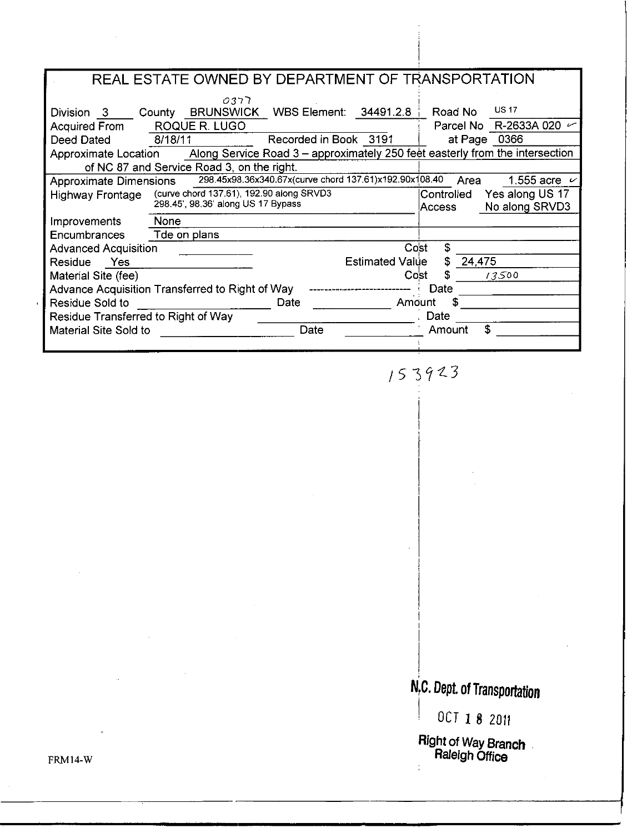|                                                                                                      | REAL ESTATE OWNED BY DEPARTMENT OF TRANSPORTATION      |                                       |  |  |  |  |  |  |  |  |
|------------------------------------------------------------------------------------------------------|--------------------------------------------------------|---------------------------------------|--|--|--|--|--|--|--|--|
|                                                                                                      | ררכס                                                   | <b>US 17</b>                          |  |  |  |  |  |  |  |  |
| Division 3                                                                                           | <b>BRUNSWICK</b><br>WBS Element:<br>County             | 34491.2.8<br>Road No                  |  |  |  |  |  |  |  |  |
| Acquired From                                                                                        | ROQUE R. LUGO                                          | Parcel No R-2633A 020 $\sim$          |  |  |  |  |  |  |  |  |
| Deed Dated                                                                                           | Recorded in Book 3191<br>8/18/11                       | at Page 0366                          |  |  |  |  |  |  |  |  |
| Along Service Road 3 – approximately 250 feet easterly from the intersection<br>Approximate Location |                                                        |                                       |  |  |  |  |  |  |  |  |
|                                                                                                      | of NC 87 and Service Road 3, on the right.             |                                       |  |  |  |  |  |  |  |  |
| Approximate Dimensions                                                                               | 298.45x98.36x340.67x(curve chord 137.61)x192.90x108.40 | Area<br>1.555 acre $\sim$             |  |  |  |  |  |  |  |  |
| Highway Frontage                                                                                     | (curve chord 137.61), 192.90 along SRVD3               | Yes along US 17<br>Controlled         |  |  |  |  |  |  |  |  |
|                                                                                                      | 298.45', 98.36' along US 17 Bypass                     | No along SRVD3<br>Access              |  |  |  |  |  |  |  |  |
| Improvements                                                                                         | None                                                   |                                       |  |  |  |  |  |  |  |  |
| <b>Encumbrances</b>                                                                                  | Tde on plans                                           |                                       |  |  |  |  |  |  |  |  |
| <b>Advanced Acquisition</b>                                                                          |                                                        | Cost<br>\$                            |  |  |  |  |  |  |  |  |
| Residue Yes                                                                                          |                                                        | S<br><b>Estimated Value</b><br>24,475 |  |  |  |  |  |  |  |  |
| Material Site (fee)                                                                                  |                                                        | S<br>13500<br>Cost                    |  |  |  |  |  |  |  |  |
| Advance Acquisition Transferred to Right of Way                                                      | Date                                                   |                                       |  |  |  |  |  |  |  |  |
| Residue Sold to                                                                                      | Date                                                   | Amount                                |  |  |  |  |  |  |  |  |
| Residue Transferred to Right of Way                                                                  |                                                        | Date                                  |  |  |  |  |  |  |  |  |
| Material Site Sold to                                                                                | Date                                                   | \$<br>Amount                          |  |  |  |  |  |  |  |  |
|                                                                                                      |                                                        |                                       |  |  |  |  |  |  |  |  |

153923

# N.C. Dept. of Transportation

OCT 18 2011

Right of Way Branch

FRM14-W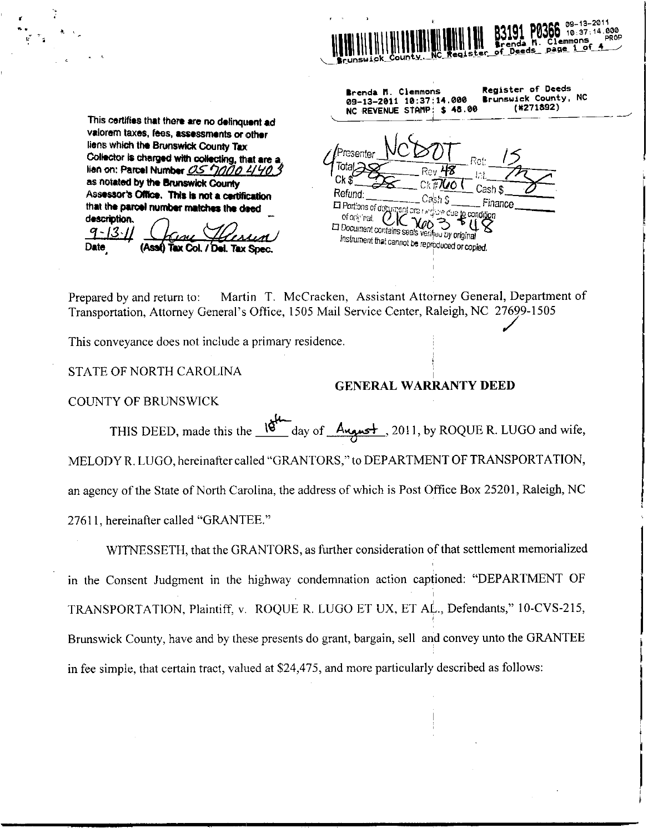

 $$48.00$ 

Brenda M. Clemmons

**NC REVENUE STAMP:** 

09-13-2011 10:37:14.000

**Register of Deeds** 

Brunswick County, NC

(#271892)

This certifies that there are no delinquent ad valorem taxes, fees, assessments or other liens which the Brunswick County Tax Collector is charged with collecting, that are a lien on: Parcel Number 05 7000 4/40. Ck ! as notated by the Brunswick County Cash 9 Refund. Assessor's Office. This is not a certification Cт ካድ Finance **In Portions of document are in**that the parcel number matches the deed ure due to condition Of one nat  $CK$   $\chi_{\varrho\circ}$ description. ϡ Document contains seals verified by original  $9 - 13 - 11$ instrument that cannot be reproduced or copied. Date **(Assi) Tax Col. / Del. Tax Spec.** 

Martin T. McCracken, Assistant Attorney General, Department of Prepared by and return to: Transportation, Attorney General's Office, 1505 Mail Service Center, Raleigh, NC 27699-1505

This convevance does not include a primary residence.

STATE OF NORTH CAROLINA

**COUNTY OF BRUNSWICK** 

#### **GENERAL WARRANTY DEED**

THIS DEED, made this the  $18^{\circ}$  day of August, 2011, by ROQUE R. LUGO and wife, MELODY R. LUGO, hereinafter called "GRANTORS," to DEPARTMENT OF TRANSPORTATION, an agency of the State of North Carolina, the address of which is Post Office Box 25201, Raleigh, NC 27611, hereinafter called "GRANTEE."

WITNESSETH, that the GRANTORS, as further consideration of that settlement memorialized in the Consent Judgment in the highway condemnation action captioned: "DEPARTMENT OF TRANSPORTATION, Plaintiff, v. ROQUE R. LUGO ET UX, ET AL., Defendants," 10-CVS-215, Brunswick County, have and by these presents do grant, bargain, sell and convey unto the GRANTEE in fee simple, that certain tract, valued at \$24,475, and more particularly described as follows: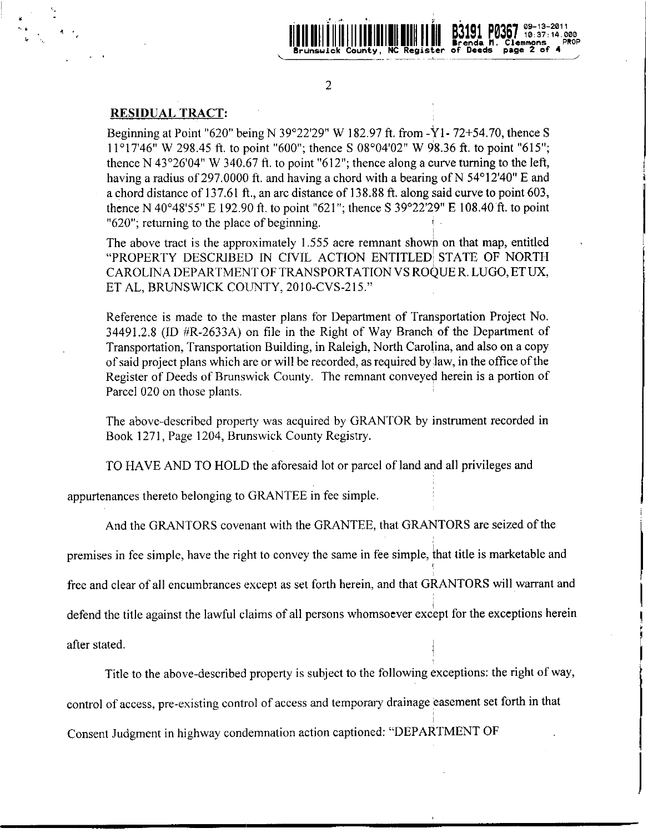

 $\overline{2}$ 

#### **RESIDUAL TRACT:**

Beginning at Point "620" being N 39°22′29" W 182.97 ft. from -Y1-72+54.70, thence S  $11^{\circ}17'46''$  W 298.45 ft. to point "600"; thence S 08°04'02" W 98.36 ft. to point "615"; thence N 43 $^{\circ}26'04''$  W 340.67 ft. to point "612"; thence along a curve turning to the left, having a radius of 297.0000 ft. and having a chord with a bearing of N 54°12'40" E and a chord distance of 137.61 ft., an arc distance of 138.88 ft. along said curve to point 603, thence N 40°48'55" E 192.90 ft. to point "621"; thence S 39°22'29" E 108.40 ft. to point "620"; returning to the place of beginning.

The above tract is the approximately 1.555 acre remnant shown on that map, entitled "PROPERTY DESCRIBED IN CIVIL ACTION ENTITLED STATE OF NORTH CAROLINA DEPARTMENT OF TRANSPORTATION VS ROQUE R. LUGO, ET UX, ET AL, BRUNSWICK COUNTY, 2010-CVS-215."

Reference is made to the master plans for Department of Transportation Project No. 34491.2.8 (ID #R-2633A) on file in the Right of Way Branch of the Department of Transportation, Transportation Building, in Raleigh, North Carolina, and also on a copy of said project plans which are or will be recorded, as required by law, in the office of the Register of Deeds of Brunswick County. The remnant conveyed herein is a portion of Parcel 020 on those plants.

The above-described property was acquired by GRANTOR by instrument recorded in Book 1271, Page 1204, Brunswick County Registry.

TO HAVE AND TO HOLD the aforesaid lot or parcel of land and all privileges and

appurtenances thereto belonging to GRANTEE in fee simple.

And the GRANTORS covenant with the GRANTEE, that GRANTORS are seized of the

premises in fee simple, have the right to convey the same in fee simple, that title is marketable and

free and clear of all encumbrances except as set forth herein, and that GRANTORS will warrant and

defend the title against the lawful claims of all persons whomsoever except for the exceptions herein

after stated.

Title to the above-described property is subject to the following exceptions: the right of way,

control of access, pre-existing control of access and temporary drainage easement set forth in that

Consent Judgment in highway condemnation action captioned: "DEPARTMENT OF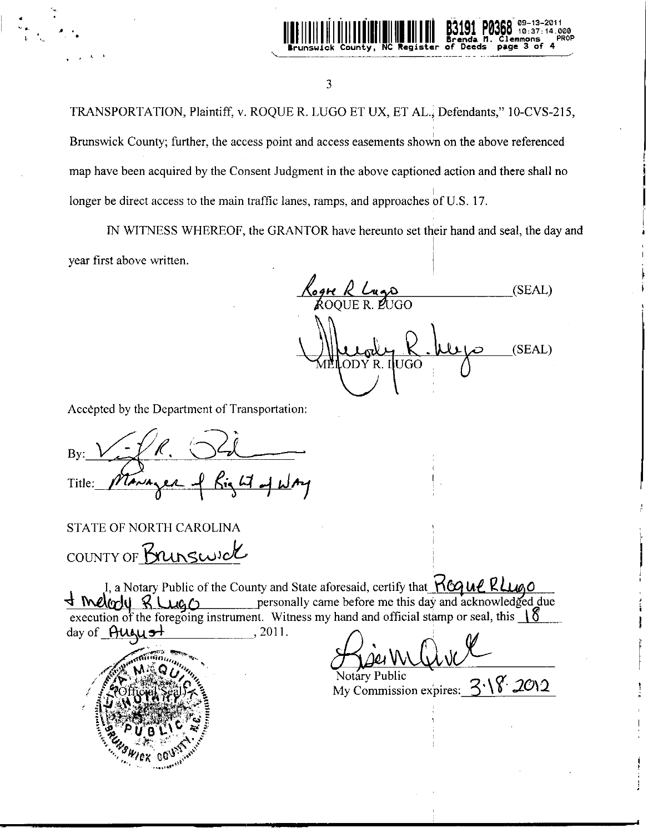

3

TRANSPORTATION, Plaintiff, v. ROQUE R. LUGO ET UX, ET AL.; Defendants," 10-CVS-215, Brunswick County; further, the access point and access easements shown on the above referenced map have been acquired by the Consent Judgment in the above captioned action and there shall no longer be direct access to the main traffic lanes, ramps, and approaches of U.S. 17.

IN WITNESS WHEREOF, the GRANTOR have hereunto set their hand and seal, the day and year first above written.

<u>Cogn R Lugo</u><br>ROOUER PUGO  $(SEAL)$  $(SEAL)$ 

Accèpted by the Department of Transportation:

Bv: Title:

**STATE OF NORTH CAROLINA** COUNTY OF Brunswick

I, a Notary Public of the County and State aforesaid, certify that **KGQUL RLUGO** personally came before me this day and acknowledged due  $LCA$ execution of the foregoing instrument. Witness my hand and official stamp or seal, this  $\sqrt{\delta}$ day of **August** 2011.



Notary Public

My Commission expires:  $3\sqrt{8}$  2012